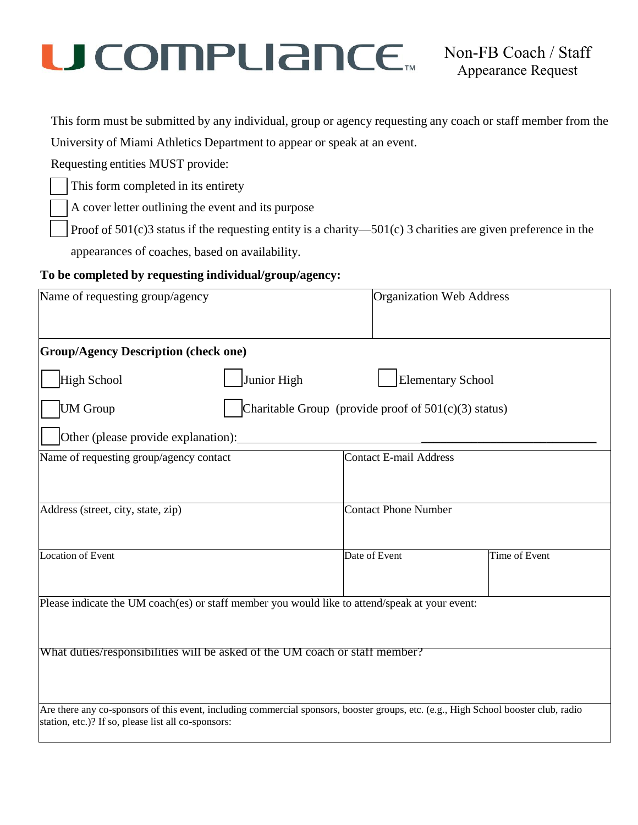## U COMPURINCE<sub>TM</sub> Non-FB Coach / Staff

This form must be submitted by any individual, group or agency requesting any coach or staff member from the

University of Miami Athletics Department to appear or speak at an event.

Requesting entities MUST provide:

This form completed in its entirety

A cover letter outlining the event and its purpose

Proof of  $501(c)$ 3 status if the requesting entity is a charity—501(c) 3 charities are given preference in the

appearances of coaches, based on availability.

### **To be completed by requesting individual/group/agency:**

| Name of requesting group/agency                                                                | <b>Organization Web Address</b>                                                                                                     |  |  |
|------------------------------------------------------------------------------------------------|-------------------------------------------------------------------------------------------------------------------------------------|--|--|
| <b>Group/Agency Description (check one)</b>                                                    |                                                                                                                                     |  |  |
| Junior High<br>High School                                                                     | <b>Elementary School</b>                                                                                                            |  |  |
| <b>UM</b> Group                                                                                | Charitable Group (provide proof of $501(c)(3)$ status)                                                                              |  |  |
| Other (please provide explanation):                                                            |                                                                                                                                     |  |  |
| Name of requesting group/agency contact                                                        | <b>Contact E-mail Address</b>                                                                                                       |  |  |
|                                                                                                |                                                                                                                                     |  |  |
| Address (street, city, state, zip)                                                             | <b>Contact Phone Number</b>                                                                                                         |  |  |
| Location of Event                                                                              | Time of Event<br>Date of Event                                                                                                      |  |  |
| Please indicate the UM coach(es) or staff member you would like to attend/speak at your event: |                                                                                                                                     |  |  |
| What duties/responsibilities will be asked of the UM coach or staff member?                    |                                                                                                                                     |  |  |
|                                                                                                |                                                                                                                                     |  |  |
| station, etc.)? If so, please list all co-sponsors:                                            | Are there any co-sponsors of this event, including commercial sponsors, booster groups, etc. (e.g., High School booster club, radio |  |  |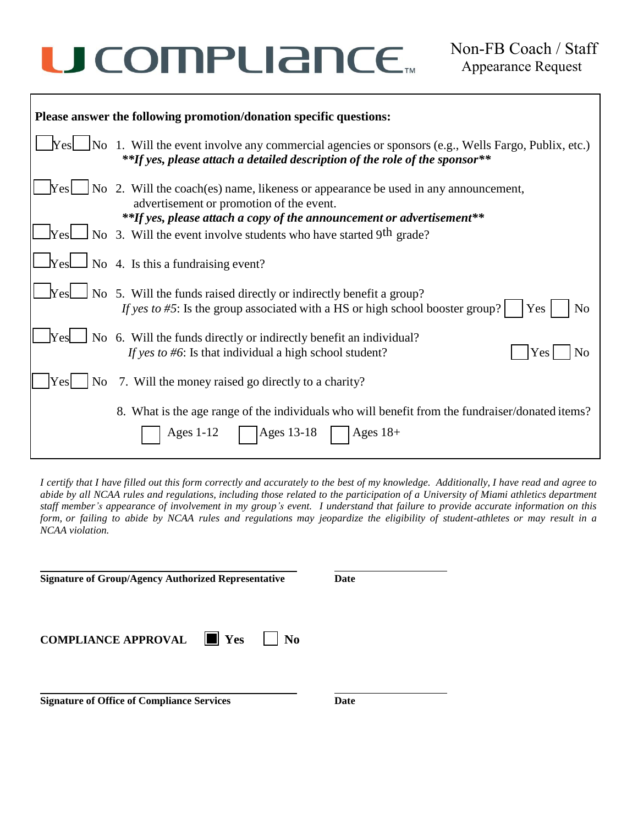# U COMPLIANCE.

| Please answer the following promotion/donation specific questions: |                                                                                                                                                                                                                                               |  |  |
|--------------------------------------------------------------------|-----------------------------------------------------------------------------------------------------------------------------------------------------------------------------------------------------------------------------------------------|--|--|
|                                                                    | $\text{Yes}$ No 1. Will the event involve any commercial agencies or sponsors (e.g., Wells Fargo, Publix, etc.)<br>**If yes, please attach a detailed description of the role of the sponsor**                                                |  |  |
|                                                                    | $\lfloor \frac{\cdot}{\cdot} \rfloor$ No 2. Will the coach(es) name, likeness or appearance be used in any announcement,<br>advertisement or promotion of the event.<br>**If yes, please attach a copy of the announcement or advertisement** |  |  |
|                                                                    | $\Box$ Yes $\Box$ No 3. Will the event involve students who have started 9th grade?                                                                                                                                                           |  |  |
|                                                                    | $\Box$ Yes $\Box$ No 4. Is this a fundraising event?                                                                                                                                                                                          |  |  |
|                                                                    | $\Box$ No 5. Will the funds raised directly or indirectly benefit a group?<br>If yes to #5: Is the group associated with a HS or high school booster group?<br>N <sub>o</sub><br>Yes                                                          |  |  |
| <b>Yes</b>                                                         | No 6. Will the funds directly or indirectly benefit an individual?<br>If yes to #6: Is that individual a high school student?<br>No<br>Yes                                                                                                    |  |  |
| Yes                                                                | No 7. Will the money raised go directly to a charity?                                                                                                                                                                                         |  |  |
|                                                                    | 8. What is the age range of the individuals who will benefit from the fundraiser/donated items?<br>Ages 13-18<br>Ages $1-12$<br>Ages $18+$                                                                                                    |  |  |

I certify that I have filled out this form correctly and accurately to the best of my knowledge. Additionally, I have read and agree to abide by all NCAA rules and regulations, including those related to the participation of a University of Miami athletics department staff member's appearance of involvement in my group's event. I understand that failure to provide accurate information on this form, or failing to abide by NCAA rules and regulations may jeopardize the eligibility of student-athletes or may result in a *NCAA violation.*

| <b>Signature of Group/Agency Authorized Representative</b>   | Date |  |
|--------------------------------------------------------------|------|--|
| <b>COMPLIANCE APPROVAL</b> $\ \mathbf{v}\ $ Yes<br><b>No</b> |      |  |
| <b>Signature of Office of Compliance Services</b>            | Date |  |